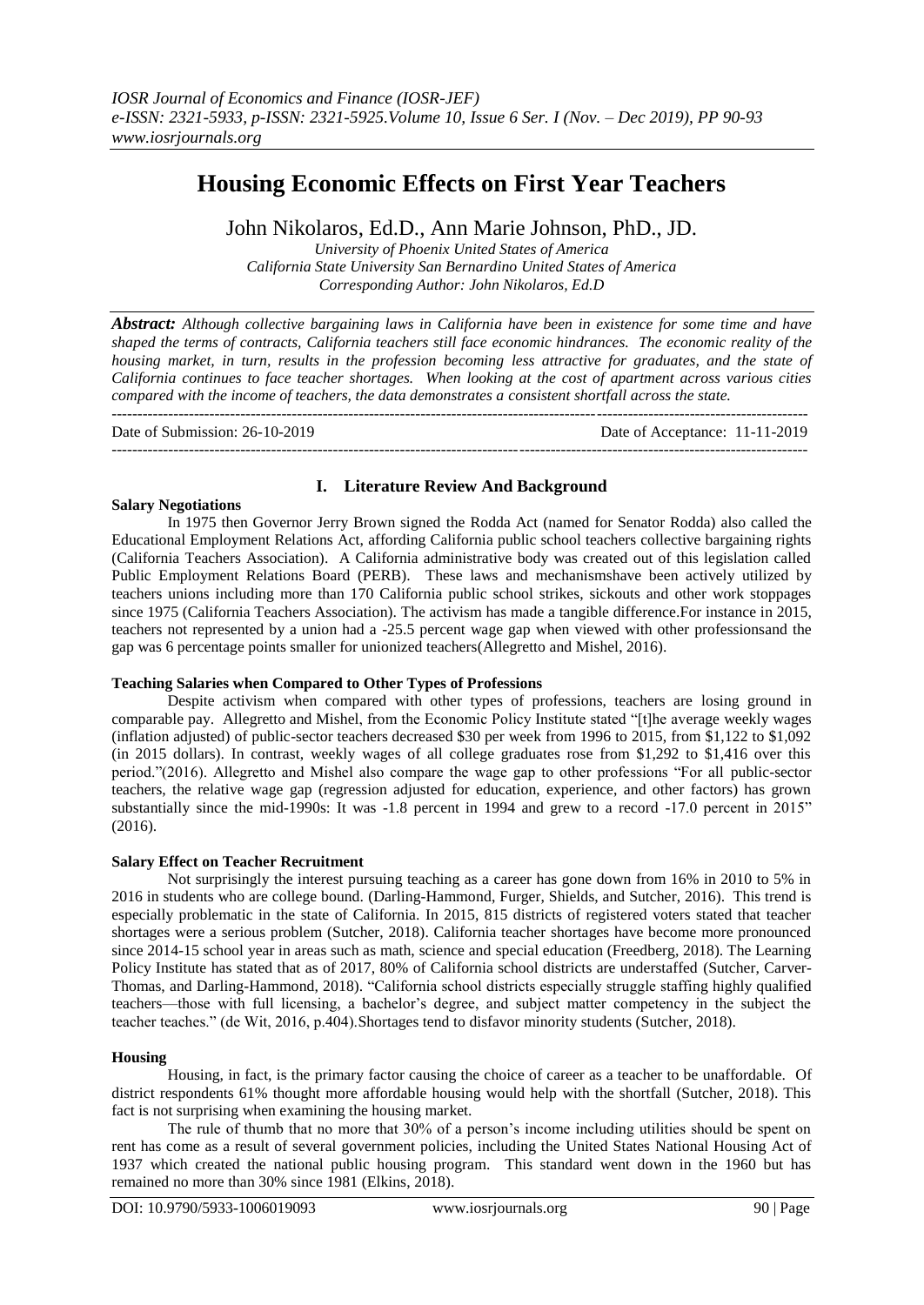# **Housing Economic Effects on First Year Teachers**

John Nikolaros, Ed.D., Ann Marie Johnson, PhD., JD.

*University of Phoenix United States of America California State University San Bernardino United States of America Corresponding Author: John Nikolaros, Ed.D*

*Abstract: Although collective bargaining laws in California have been in existence for some time and have shaped the terms of contracts, California teachers still face economic hindrances. The economic reality of the housing market, in turn, results in the profession becoming less attractive for graduates, and the state of California continues to face teacher shortages. When looking at the cost of apartment across various cities compared with the income of teachers, the data demonstrates a consistent shortfall across the state.* 

--------------------------------------------------------------------------------------------------------------------------------------- Date of Submission: 26-10-2019 Date of Acceptance: 11-11-2019 ---------------------------------------------------------------------------------------------------------------------------------------

## **I. Literature Review And Background**

#### **Salary Negotiations**

In 1975 then Governor Jerry Brown signed the Rodda Act (named for Senator Rodda) also called the Educational Employment Relations Act, affording California public school teachers collective bargaining rights (California Teachers Association). A California administrative body was created out of this legislation called Public Employment Relations Board (PERB). These laws and mechanismshave been actively utilized by teachers unions including more than 170 California public school strikes, sickouts and other work stoppages since 1975 (California Teachers Association). The activism has made a tangible difference.For instance in 2015, teachers not represented by a union had a -25.5 percent wage gap when viewed with other professionsand the gap was 6 percentage points smaller for unionized teachers[\(Allegretto](https://www.epi.org/people/sylvia-a-allegretto/) and [Mishel,](https://www.epi.org/people/lawrence-mishel/) 2016).

## **Teaching Salaries when Compared to Other Types of Professions**

Despite activism when compared with other types of professions, teachers are losing ground in comparable pay. [Allegretto](https://www.epi.org/people/sylvia-a-allegretto/) and [Mishel,](https://www.epi.org/people/lawrence-mishel/) from the Economic Policy Institute stated "[t]he average weekly wages (inflation adjusted) of public-sector teachers decreased \$30 per week from 1996 to 2015, from \$1,122 to \$1,092 (in 2015 dollars). In contrast, weekly wages of all college graduates rose from \$1,292 to \$1,416 over this period."(2016). Allegretto and Mishel also compare the wage gap to other professions "For all public-sector teachers, the relative wage gap (regression adjusted for education, experience, and other factors) has grown substantially since the mid-1990s: It was -1.8 percent in 1994 and grew to a record -17.0 percent in 2015" (2016).

## **Salary Effect on Teacher Recruitment**

Not surprisingly the interest pursuing teaching as a career has gone down from 16% in 2010 to 5% in 2016 in students who are college bound. (Darling-Hammond, Furger, Shields, and Sutcher, 2016). This trend is especially problematic in the state of California. In 2015, 815 districts of registered voters stated that teacher shortages were a serious problem (Sutcher, 2018). California teacher shortages have become more pronounced since 2014-15 school year in areas such as math, science and special education (Freedberg, 2018). The Learning Policy Institute has stated that as of 2017, 80% of California school districts are understaffed (Sutcher, Carver-Thomas, and Darling-Hammond, 2018). "California school districts especially struggle staffing highly qualified teachers—those with full licensing, a bachelor's degree, and subject matter competency in the subject the teacher teaches." (de Wit, 2016, p.404).Shortages tend to disfavor minority students (Sutcher, 2018).

## **Housing**

Housing, in fact, is the primary factor causing the choice of career as a teacher to be unaffordable. Of district respondents 61% thought more affordable housing would help with the shortfall (Sutcher, 2018). This fact is not surprising when examining the housing market.

The rule of thumb that no more that 30% of a person's income including utilities should be spent on rent has come as a result of several government policies, including the United States National Housing Act of 1937 which created the national public housing program. This standard went down in the 1960 but has remained no more than 30% since 1981 (Elkins, 2018).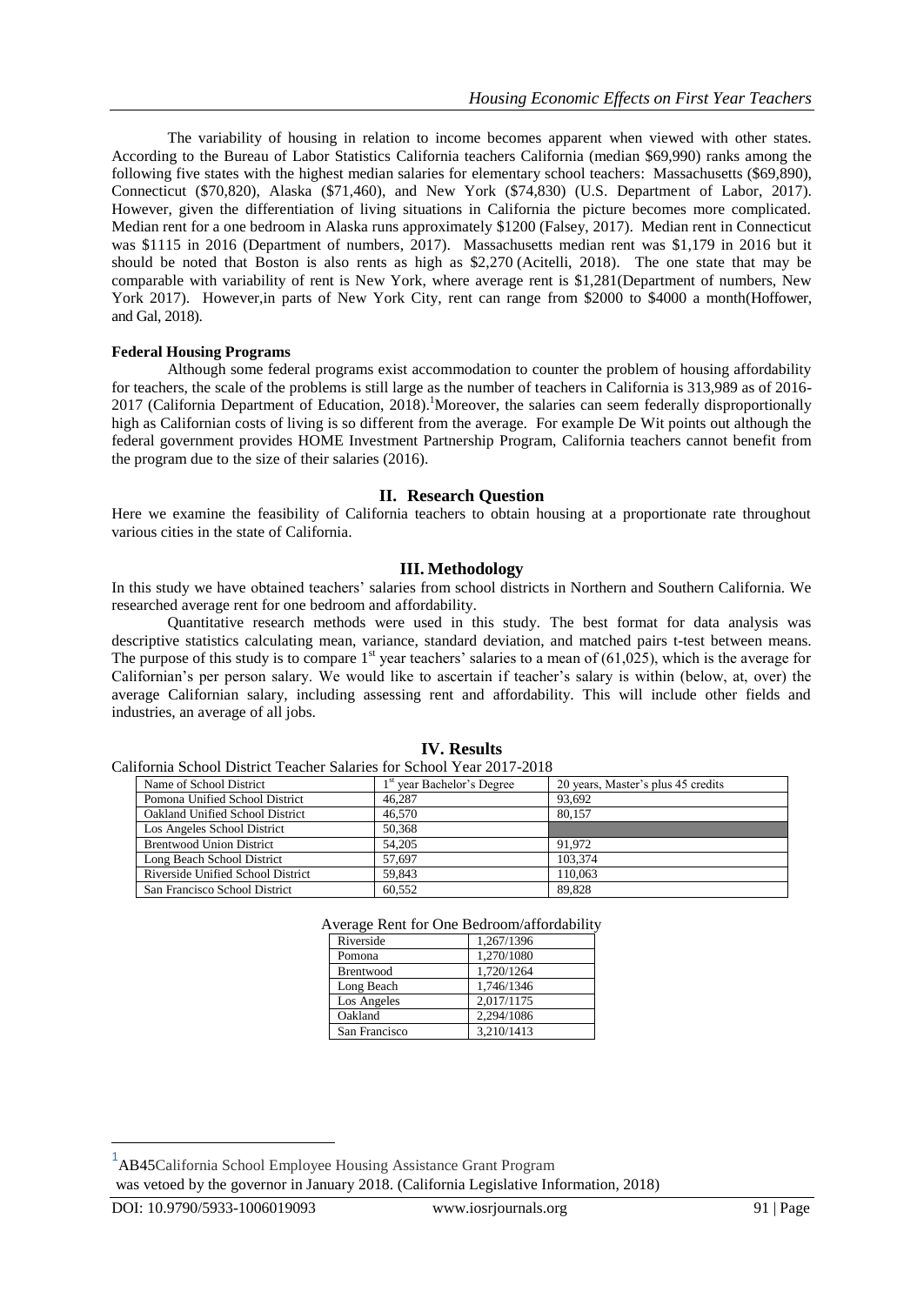The variability of housing in relation to income becomes apparent when viewed with other states. According to the Bureau of Labor Statistics California teachers California (median \$69,990) ranks among the following five states with the highest median salaries for elementary school teachers: Massachusetts (\$69,890), Connecticut (\$70,820), Alaska (\$71,460), and New York (\$74,830) (U.S. Department of Labor, 2017). However, given the differentiation of living situations in California the picture becomes more complicated. Median rent for a one bedroom in Alaska runs approximately \$1200 (Falsey, 2017). Median rent in Connecticut was \$1115 in 2016 (Department of numbers, 2017). Massachusetts median rent was \$1,179 in 2016 but it should be noted that Boston is also rents as high as \$2,270 (Acitelli, 2018). The one state that may be comparable with variability of rent is New York, where average rent is \$1,281(Department of numbers, New York 2017). However, in parts of New York City, rent can range from \$2000 to \$4000 a month(Hoffower, and Gal, 2018).

# **Federal Housing Programs**

Although some federal programs exist accommodation to counter the problem of housing affordability for teachers, the scale of the problems is still large as the number of teachers in California is 313,989 as of 2016- 2017 (California Department of Education, 2018). Moreover, the salaries can seem federally disproportionally high as Californian costs of living is so different from the average. For example De Wit points out although the federal government provides HOME Investment Partnership Program, California teachers cannot benefit from the program due to the size of their salaries (2016).

## **II. Research Question**

Here we examine the feasibility of California teachers to obtain housing at a proportionate rate throughout various cities in the state of California.

## **III. Methodology**

In this study we have obtained teachers' salaries from school districts in Northern and Southern California. We researched average rent for one bedroom and affordability.

Quantitative research methods were used in this study. The best format for data analysis was descriptive statistics calculating mean, variance, standard deviation, and matched pairs t-test between means. The purpose of this study is to compare 1<sup>st</sup> year teachers' salaries to a mean of  $(61,025)$ , which is the average for Californian's per person salary. We would like to ascertain if teacher's salary is within (below, at, over) the average Californian salary, including assessing rent and affordability. This will include other fields and industries, an average of all jobs.

| California School District Teacher Salaries for School Year 2017-2018 |                                        |                                    |
|-----------------------------------------------------------------------|----------------------------------------|------------------------------------|
| Name of School District                                               | 1 <sup>st</sup> year Bachelor's Degree | 20 years, Master's plus 45 credits |
| Pomona Unified School District                                        | 46,287                                 | 93.692                             |
| Oakland Unified School District                                       | 46.570                                 | 80.157                             |
| Los Angeles School District                                           | 50.368                                 |                                    |
| <b>Brentwood Union District</b>                                       | 54,205                                 | 91.972                             |
| Long Beach School District                                            | 57.697                                 | 103.374                            |
| Riverside Unified School District                                     | 59.843                                 | 110.063                            |
| San Francisco School District                                         | 60.552                                 | 89.828                             |

## **IV. Results**

Average Rent for One Bedroom/affordability

| Riverside     | 1,267/1396 |
|---------------|------------|
| Pomona        | 1,270/1080 |
| Brentwood     | 1,720/1264 |
| Long Beach    | 1,746/1346 |
| Los Angeles   | 2,017/1175 |
| Oakland       | 2,294/1086 |
| San Francisco | 3,210/1413 |
|               |            |

 $\overline{a}$ 

<sup>1</sup> AB45California School Employee Housing Assistance Grant Program

was vetoed by the governor in January 2018. (California Legislative Information, 2018)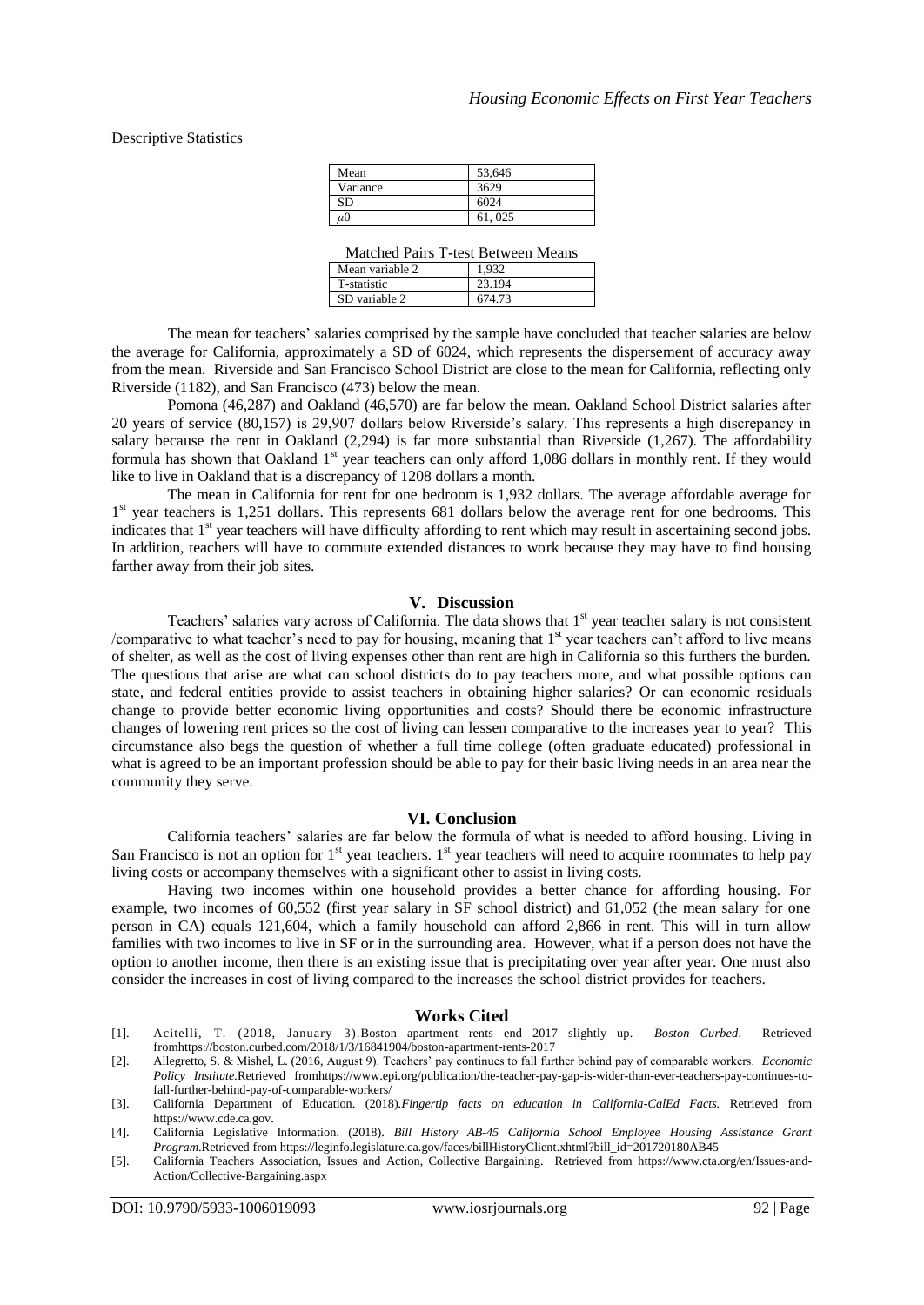Descriptive Statistics

| Mean               | 53,646 |
|--------------------|--------|
| Variance           | 3629   |
| SD                 | 6024   |
| $\mu$ <sup>0</sup> | 61,025 |

| Mean variable 2 | 032    |
|-----------------|--------|
| T-statistic     | 23.194 |
| SD variable 2   | 674.73 |

The mean for teachers' salaries comprised by the sample have concluded that teacher salaries are below the average for California, approximately a SD of 6024, which represents the dispersement of accuracy away from the mean. Riverside and San Francisco School District are close to the mean for California, reflecting only Riverside (1182), and San Francisco (473) below the mean.

Pomona (46,287) and Oakland (46,570) are far below the mean. Oakland School District salaries after 20 years of service (80,157) is 29,907 dollars below Riverside's salary. This represents a high discrepancy in salary because the rent in Oakland  $(2,294)$  is far more substantial than Riverside  $(1,267)$ . The affordability formula has shown that Oakland 1<sup>st</sup> year teachers can only afford 1,086 dollars in monthly rent. If they would like to live in Oakland that is a discrepancy of 1208 dollars a month.

The mean in California for rent for one bedroom is 1,932 dollars. The average affordable average for 1<sup>st</sup> year teachers is 1,251 dollars. This represents 681 dollars below the average rent for one bedrooms. This indicates that 1<sup>st</sup> year teachers will have difficulty affording to rent which may result in ascertaining second jobs. In addition, teachers will have to commute extended distances to work because they may have to find housing farther away from their job sites.

#### **V. Discussion**

Teachers' salaries vary across of California. The data shows that 1<sup>st</sup> year teacher salary is not consistent /comparative to what teacher's need to pay for housing, meaning that  $1<sup>st</sup>$  year teachers can't afford to live means of shelter, as well as the cost of living expenses other than rent are high in California so this furthers the burden. The questions that arise are what can school districts do to pay teachers more, and what possible options can state, and federal entities provide to assist teachers in obtaining higher salaries? Or can economic residuals change to provide better economic living opportunities and costs? Should there be economic infrastructure changes of lowering rent prices so the cost of living can lessen comparative to the increases year to year? This circumstance also begs the question of whether a full time college (often graduate educated) professional in what is agreed to be an important profession should be able to pay for their basic living needs in an area near the community they serve.

## **VI. Conclusion**

California teachers' salaries are far below the formula of what is needed to afford housing. Living in San Francisco is not an option for  $1<sup>st</sup>$  year teachers.  $1<sup>st</sup>$  year teachers will need to acquire roommates to help pay living costs or accompany themselves with a significant other to assist in living costs.

Having two incomes within one household provides a better chance for affording housing. For example, two incomes of 60,552 (first year salary in SF school district) and 61,052 (the mean salary for one person in CA) equals 121,604, which a family household can afford 2,866 in rent. This will in turn allow families with two incomes to live in SF or in the surrounding area. However, what if a person does not have the option to another income, then there is an existing issue that is precipitating over year after year. One must also consider the increases in cost of living compared to the increases the school district provides for teachers.

#### **Works Cited**

- [1]. Acitelli, [T. \(](file:///C:\Users\jnikolaros\Downloads\T)2018, January 3).Boston apartment rents end 2017 slightly up. *Boston Curbed*. Retrieved fro[mhttps://boston.curbed.com/2018/1/3/16841904/boston-apartment-rents-2017](https://boston.curbed.com/2018/1/3/16841904/boston-apartment-rents-2017)
- [2]. [Allegretto,](https://www.epi.org/people/sylvia-a-allegretto/) S. & [Mishel,](https://www.epi.org/people/lawrence-mishel/) L. (2016, August 9). Teachers' pay continues to fall further behind pay of comparable workers. *Economic Policy Institute.*Retrieved fro[mhttps://www.epi.org/publication/the-teacher-pay-gap-is-wider-than-ever-teachers-pay-continues-to](https://www.epi.org/publication/the-teacher-pay-gap-is-wider-than-ever-teachers-pay-continues-to-fall-further-behind-pay-of-comparable-workers/)[fall-further-behind-pay-of-comparable-workers/](https://www.epi.org/publication/the-teacher-pay-gap-is-wider-than-ever-teachers-pay-continues-to-fall-further-behind-pay-of-comparable-workers/)
- [3]. California Department of Education. (2018).*Fingertip facts on education in California-CalEd Facts.* Retrieved from [https://www.cde.ca.gov.](https://www.cde.ca.gov/)
- [4]. California Legislative Information. (2018). *Bill History AB-45 California School Employee Housing Assistance Grant Program*.Retrieved fro[m https://leginfo.legislature.ca.gov/faces/billHistoryClient.xhtml?bill\\_id=201720180AB45](https://leginfo.legislature.ca.gov/faces/billHistoryClient.xhtml?bill_id=201720180AB45)
- [5]. California Teachers Association, Issues and Action, Collective Bargaining. Retrieved from [https://www.cta.org/en/Issues-and-](https://www.cta.org/en/Issues-and-Action/Collective-Bargaining.aspx)[Action/Collective-Bargaining.aspx](https://www.cta.org/en/Issues-and-Action/Collective-Bargaining.aspx)